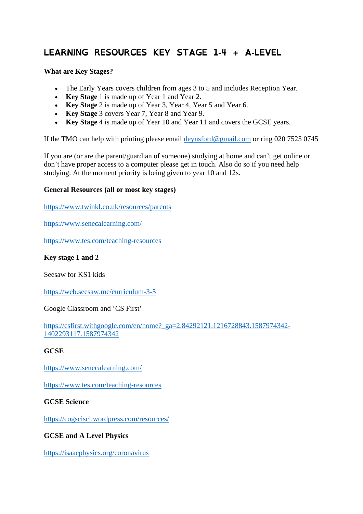# LEARNING RESOURCES KEY STAGE 1-4 + A-LEVEL

## **What are Key Stages?**

- The Early Years covers children from ages 3 to 5 and includes Reception Year.
- **Key Stage** 1 is made up of Year 1 and Year 2.
- **Key Stage** 2 is made up of Year 3, Year 4, Year 5 and Year 6.
- **Key Stage** 3 covers Year 7, Year 8 and Year 9.
- **Key Stage** 4 is made up of Year 10 and Year 11 and covers the GCSE years.

If the TMO can help with printing please email [deynsford@gmail.com](mailto:deynsford@gmail.com) or ring 020 7525 0745

If you are (or are the parent/guardian of someone) studying at home and can't get online or don't have proper access to a computer please get in touch. Also do so if you need help studying. At the moment priority is being given to year 10 and 12s.

#### **General Resources (all or most key stages)**

<https://www.twinkl.co.uk/resources/parents>

<https://www.senecalearning.com/>

<https://www.tes.com/teaching-resources>

#### **Key stage 1 and 2**

Seesaw for KS1 kids

<https://web.seesaw.me/curriculum-3-5>

Google Classroom and 'CS First'

[https://csfirst.withgoogle.com/en/home?\\_ga=2.84292121.1216728843.1587974342-](https://csfirst.withgoogle.com/en/home?_ga=2.84292121.1216728843.1587974342-1402293117.1587974342) [1402293117.1587974342](https://csfirst.withgoogle.com/en/home?_ga=2.84292121.1216728843.1587974342-1402293117.1587974342)

#### **GCSE**

<https://www.senecalearning.com/>

<https://www.tes.com/teaching-resources>

#### **GCSE Science**

<https://cogscisci.wordpress.com/resources/>

## **GCSE and A Level Physics**

<https://isaacphysics.org/coronavirus>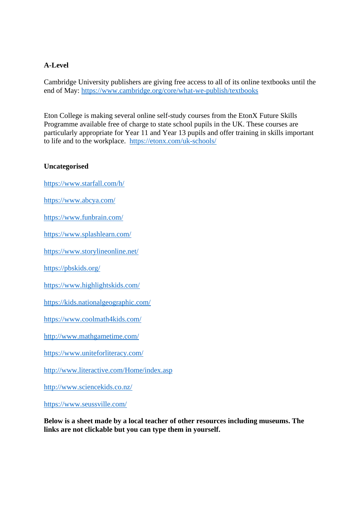# **A-Level**

Cambridge University publishers are giving free access to all of its online textbooks until the end of May: <https://www.cambridge.org/core/what-we-publish/textbooks>

Eton College is making several online self-study courses from the EtonX Future Skills Programme available free of charge to state school pupils in the UK. These courses are particularly appropriate for Year 11 and Year 13 pupils and offer training in skills important to life and to the workplace. <https://etonx.com/uk-schools/>

## **Uncategorised**

<https://www.starfall.com/h/>

<https://www.abcya.com/>

<https://www.funbrain.com/>

<https://www.splashlearn.com/>

<https://www.storylineonline.net/>

<https://pbskids.org/>

<https://www.highlightskids.com/>

<https://kids.nationalgeographic.com/>

<https://www.coolmath4kids.com/>

<http://www.mathgametime.com/>

<https://www.uniteforliteracy.com/>

<http://www.literactive.com/Home/index.asp>

<http://www.sciencekids.co.nz/>

<https://www.seussville.com/>

**Below is a sheet made by a local teacher of other resources including museums. The links are not clickable but you can type them in yourself.**